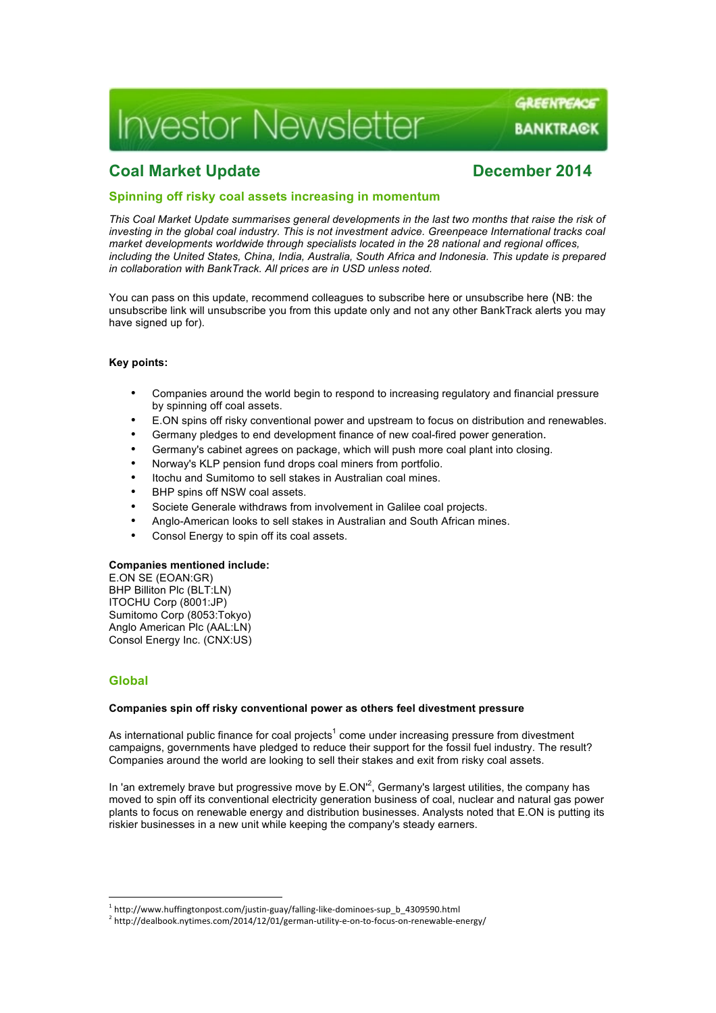# **Investor Newsletter**

# **Coal Market Update Coal Market Update December** 2014

GREENPEACE

**BANKTRA@K** 

## **Spinning off risky coal assets increasing in momentum**

*This Coal Market Update summarises general developments in the last two months that raise the risk of investing in the global coal industry. This is not investment advice. Greenpeace International tracks coal market developments worldwide through specialists located in the 28 national and regional offices, including the United States, China, India, Australia, South Africa and Indonesia. This update is prepared in collaboration with BankTrack. All prices are in USD unless noted.*

You can pass on this update, recommend colleagues to subscribe here or unsubscribe here (NB: the unsubscribe link will unsubscribe you from this update only and not any other BankTrack alerts you may have signed up for).

### **Key points:**

- Companies around the world begin to respond to increasing regulatory and financial pressure by spinning off coal assets.
- E.ON spins off risky conventional power and upstream to focus on distribution and renewables.
- Germany pledges to end development finance of new coal-fired power generation.
- Germany's cabinet agrees on package, which will push more coal plant into closing.
- Norway's KLP pension fund drops coal miners from portfolio.
- Itochu and Sumitomo to sell stakes in Australian coal mines.
- BHP spins off NSW coal assets.
- Societe Generale withdraws from involvement in Galilee coal projects.
- Anglo-American looks to sell stakes in Australian and South African mines.
- Consol Energy to spin off its coal assets.

#### **Companies mentioned include:**

E.ON SE (EOAN:GR) BHP Billiton Plc (BLT:LN) ITOCHU Corp (8001:JP) Sumitomo Corp (8053:Tokyo) Anglo American Plc (AAL:LN) Consol Energy Inc. (CNX:US)

 

# **Global**

#### **Companies spin off risky conventional power as others feel divestment pressure**

As international public finance for coal projects<sup>1</sup> come under increasing pressure from divestment campaigns, governments have pledged to reduce their support for the fossil fuel industry. The result? Companies around the world are looking to sell their stakes and exit from risky coal assets.

In 'an extremely brave but progressive move by  $E.ON^2$ , Germany's largest utilities, the company has moved to spin off its conventional electricity generation business of coal, nuclear and natural gas power plants to focus on renewable energy and distribution businesses. Analysts noted that E.ON is putting its riskier businesses in a new unit while keeping the company's steady earners.

<sup>&</sup>lt;sup>1</sup> http://www.huffingtonpost.com/justin-guay/falling-like-dominoes-sup\_b\_4309590.html

<sup>2</sup> http://dealbook.nytimes.com/2014/12/01/german-utility-e-on-to-focus-on-renewable-energy/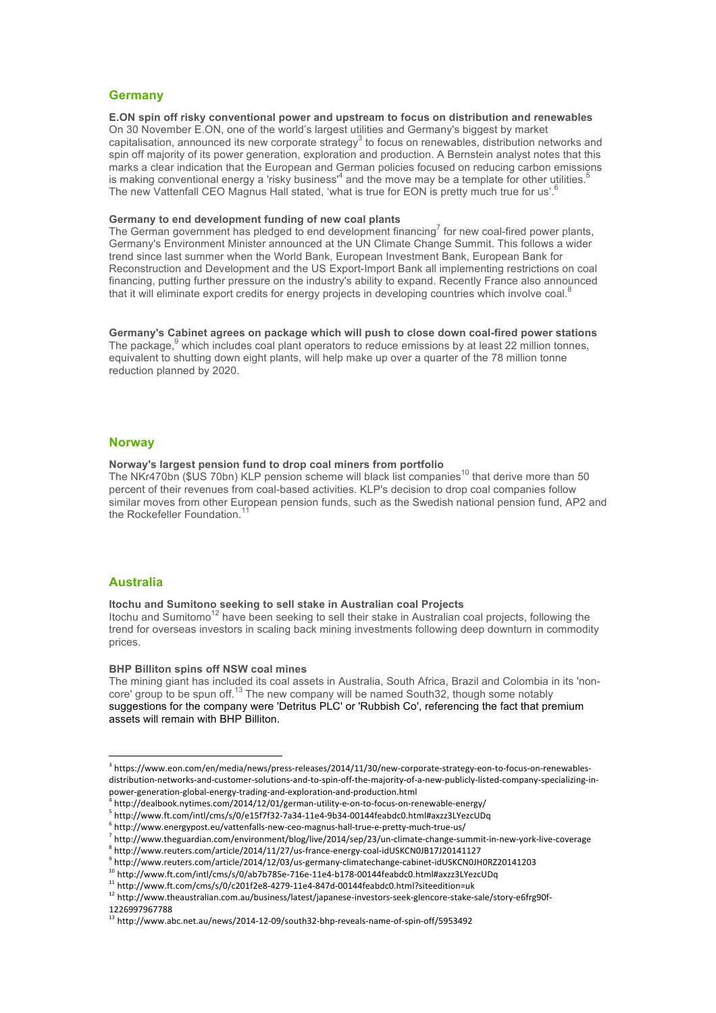### **Germany**

**E.ON spin off risky conventional power and upstream to focus on distribution and renewables**  On 30 November E.ON, one of the world's largest utilities and Germany's biggest by market capitalisation, announced its new corporate strategy<sup>3</sup> to focus on renewables, distribution networks and spin off majority of its power generation, exploration and production. A Bernstein analyst notes that this marks a clear indication that the European and German policies focused on reducing carbon emissions is making conventional energy a 'risky business'<sup>4</sup> and the move may be a template for other utilities.<sup>5</sup> The new Vattenfall CEO Magnus Hall stated, 'what is true for EON is pretty much true for us'.<sup>6</sup>

#### **Germany to end development funding of new coal plants**

The German government has pledged to end development financing<sup>7</sup> for new coal-fired power plants, Germany's Environment Minister announced at the UN Climate Change Summit. This follows a wider trend since last summer when the World Bank, European Investment Bank, European Bank for Reconstruction and Development and the US Export-Import Bank all implementing restrictions on coal financing, putting further pressure on the industry's ability to expand. Recently France also announced that it will eliminate export credits for energy projects in developing countries which involve coal.

**Germany's Cabinet agrees on package which will push to close down coal-fired power stations** The package,<sup>9</sup> which includes coal plant operators to reduce emissions by at least 22 million tonnes, equivalent to shutting down eight plants, will help make up over a quarter of the 78 million tonne reduction planned by 2020.

#### **Norway**

#### **Norway's largest pension fund to drop coal miners from portfolio**

The NKr470bn (\$US 70bn) KLP pension scheme will black list companies<sup>10</sup> that derive more than 50 percent of their revenues from coal-based activities. KLP's decision to drop coal companies follow similar moves from other European pension funds, such as the Swedish national pension fund, AP2 and the Rockefeller Foundation.<sup>11</sup>

#### **Australia**

#### **Itochu and Sumitono seeking to sell stake in Australian coal Projects**

Itochu and Sumitomo<sup>12</sup> have been seeking to sell their stake in Australian coal projects, following the trend for overseas investors in scaling back mining investments following deep downturn in commodity prices.

#### **BHP Billiton spins off NSW coal mines**

 

The mining giant has included its coal assets in Australia, South Africa, Brazil and Colombia in its 'noncore' group to be spun off.<sup>13</sup> The new company will be named South32, though some notably suggestions for the company were 'Detritus PLC' or 'Rubbish Co', referencing the fact that premium assets will remain with BHP Billiton.

<sup>3</sup> https://www.eon.com/en/media/news/press-releases/2014/11/30/new-corporate-strategy-eon-to-focus-on-renewablesdistribution-networks-and-customer-solutions-and-to-spin-off-the-majority-of-a-new-publicly-listed-company-specializing-inpower-generation-global-energy-trading-and-exploration-and-production.html

<sup>4</sup> http://dealbook.nytimes.com/2014/12/01/german-utility-e-on-to-focus-on-renewable-energy/

<sup>5</sup> http://www.ft.com/intl/cms/s/0/e15f7f32-7a34-11e4-9b34-00144feabdc0.html#axzz3LYezcUDq

 $^6$  http://www.energypost.eu/vattenfalls-new-ceo-magnus-hall-true-e-pretty-much-true-us/

<sup>7</sup> http://www.theguardian.com/environment/blog/live/2014/sep/23/un-climate-change-summit-in-new-york-live-coverage

 $^8$  http://www.reuters.com/article/2014/11/27/us-france-energy-coal-idUSKCN0JB17J20141127

<sup>9</sup> http://www.reuters.com/article/2014/12/03/us-germany-climatechange-cabinet-idUSKCN0JH0RZ20141203

<sup>10</sup> http://www.ft.com/intl/cms/s/0/ab7b785e-716e-11e4-b178-00144feabdc0.html#axzz3LYezcUDq

 $11 \text{ http://www.ft.com/cms/s/0/c201f2e8-4279-11e4-847d-00144feabdc0.html?site edition=uk$ 

<sup>12</sup> http://www.theaustralian.com.au/business/latest/japanese-investors-seek-glencore-stake-sale/story-e6frg90f-1226997967788

<sup>13</sup> http://www.abc.net.au/news/2014-12-09/south32-bhp-reveals-name-of-spin-off/5953492